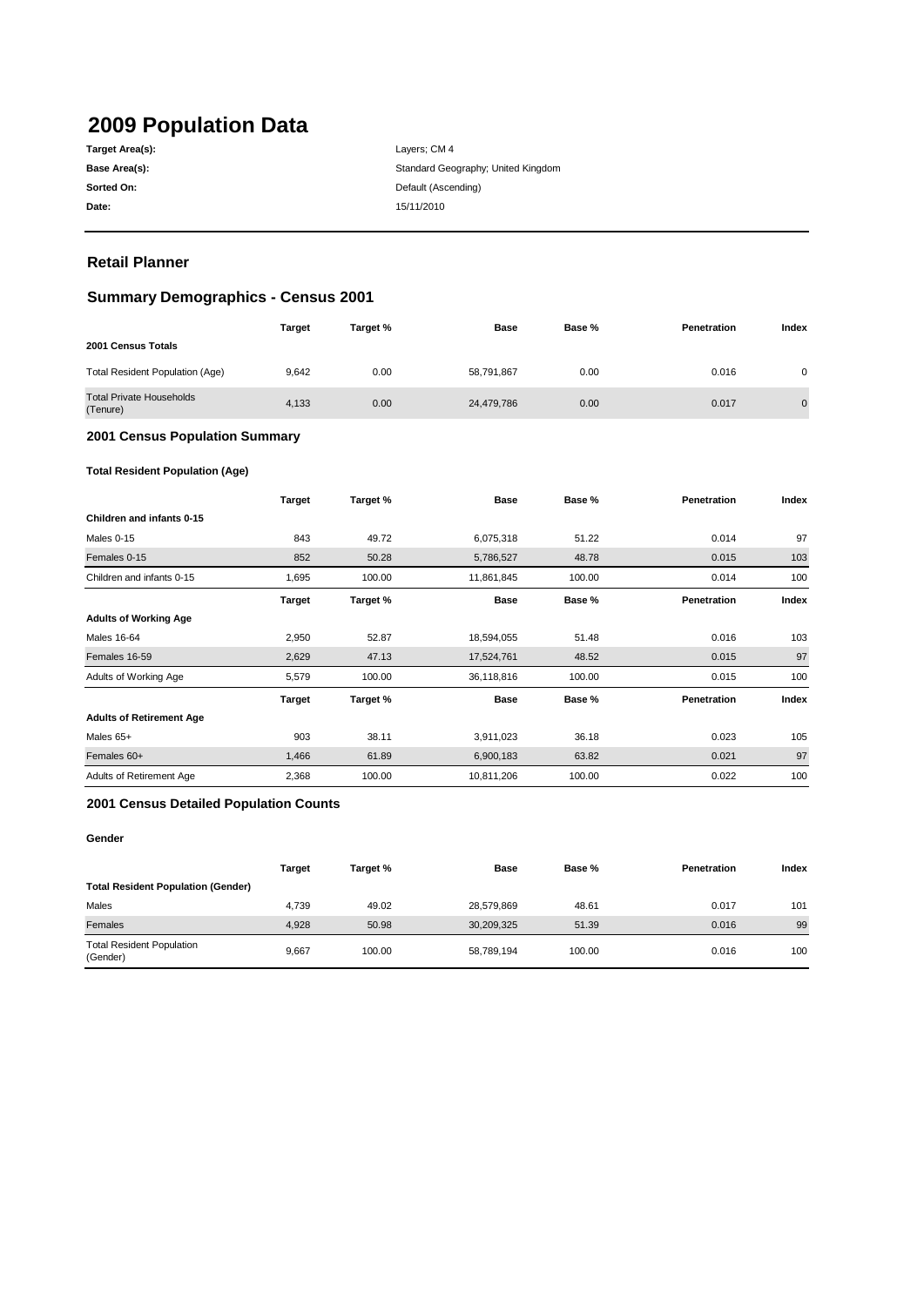# **2009 Population Data**

| Target Area(s): |
|-----------------|
| Base Area(s):   |
| Sorted On:      |
| Date:           |

**Date:** 15/11/2010 Layers; CM 4 Standard Geography; United Kingdom **Default (Ascending)** 

### **Retail Planner**

### **Summary Demographics - Census 2001**

|                                             | <b>Target</b> | Target % | Base       | Base % | Penetration | Index          |
|---------------------------------------------|---------------|----------|------------|--------|-------------|----------------|
| 2001 Census Totals                          |               |          |            |        |             |                |
| <b>Total Resident Population (Age)</b>      | 9.642         | 0.00     | 58,791,867 | 0.00   | 0.016       | 0              |
| <b>Total Private Households</b><br>(Tenure) | 4.133         | 0.00     | 24,479,786 | 0.00   | 0.017       | $\overline{0}$ |

#### **2001 Census Population Summary**

#### **Total Resident Population (Age)**

|                                 | <b>Target</b> | Target % | <b>Base</b> | Base % | Penetration | Index |
|---------------------------------|---------------|----------|-------------|--------|-------------|-------|
| Children and infants 0-15       |               |          |             |        |             |       |
| Males 0-15                      | 843           | 49.72    | 6,075,318   | 51.22  | 0.014       | 97    |
| Females 0-15                    | 852           | 50.28    | 5,786,527   | 48.78  | 0.015       | 103   |
| Children and infants 0-15       | 1,695         | 100.00   | 11,861,845  | 100.00 | 0.014       | 100   |
|                                 | <b>Target</b> | Target % | <b>Base</b> | Base % | Penetration | Index |
| <b>Adults of Working Age</b>    |               |          |             |        |             |       |
| Males 16-64                     | 2,950         | 52.87    | 18,594,055  | 51.48  | 0.016       | 103   |
| Females 16-59                   | 2,629         | 47.13    | 17,524,761  | 48.52  | 0.015       | 97    |
| Adults of Working Age           | 5,579         | 100.00   | 36,118,816  | 100.00 | 0.015       | 100   |
|                                 | <b>Target</b> | Target % | <b>Base</b> | Base % | Penetration | Index |
| <b>Adults of Retirement Age</b> |               |          |             |        |             |       |
| Males 65+                       | 903           | 38.11    | 3,911,023   | 36.18  | 0.023       | 105   |
| Females 60+                     | 1,466         | 61.89    | 6,900,183   | 63.82  | 0.021       | 97    |
| Adults of Retirement Age        | 2,368         | 100.00   | 10,811,206  | 100.00 | 0.022       | 100   |

#### **2001 Census Detailed Population Counts**

#### **Gender**

|                                              | Target | Target % | <b>Base</b> | Base % | Penetration | Index |
|----------------------------------------------|--------|----------|-------------|--------|-------------|-------|
| <b>Total Resident Population (Gender)</b>    |        |          |             |        |             |       |
| Males                                        | 4.739  | 49.02    | 28,579,869  | 48.61  | 0.017       | 101   |
| Females                                      | 4.928  | 50.98    | 30,209,325  | 51.39  | 0.016       | 99    |
| <b>Total Resident Population</b><br>(Gender) | 9.667  | 100.00   | 58.789.194  | 100.00 | 0.016       | 100   |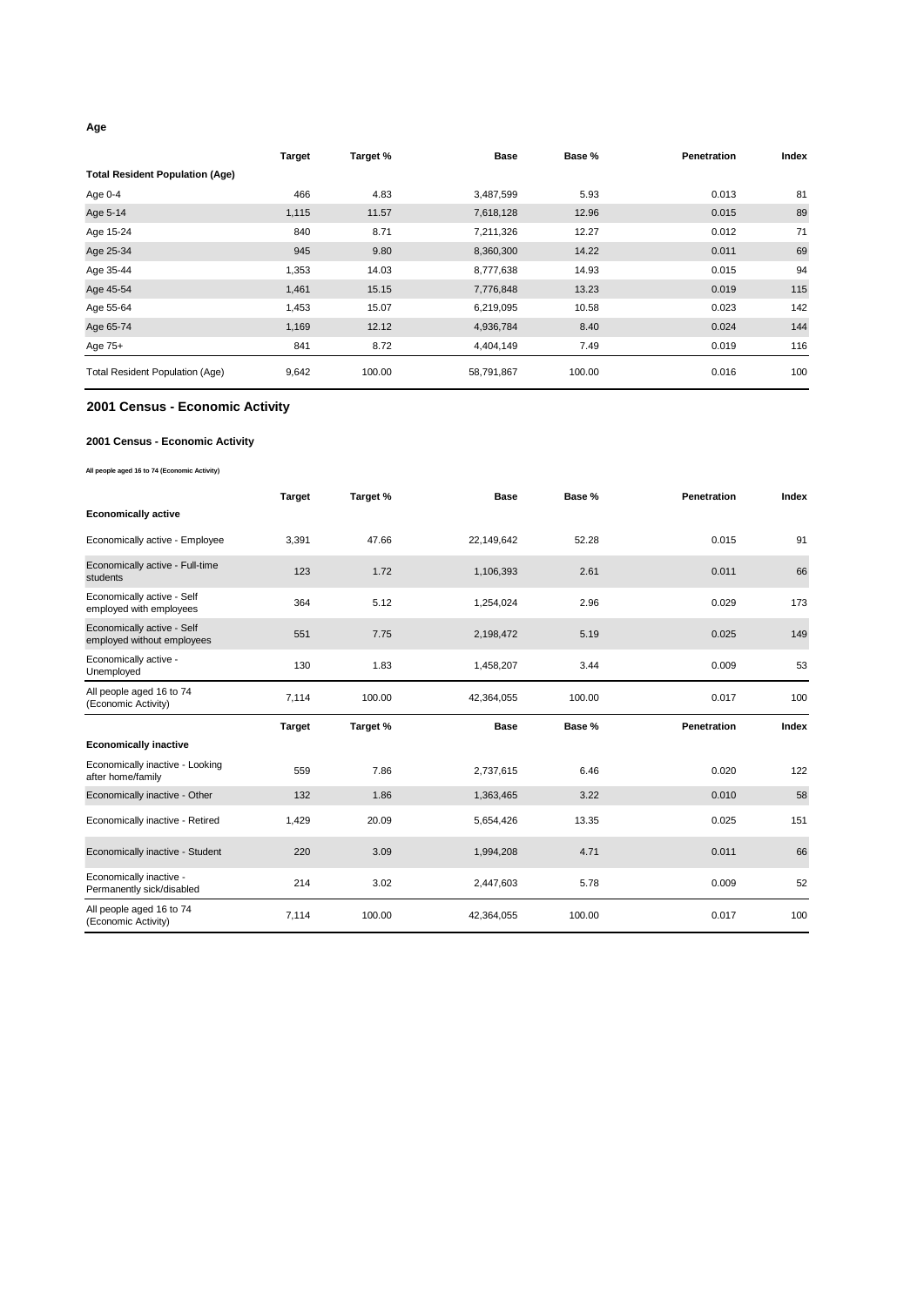#### **Age**

|                                        | <b>Target</b> | Target % | <b>Base</b> | Base % | <b>Penetration</b> | Index |
|----------------------------------------|---------------|----------|-------------|--------|--------------------|-------|
| <b>Total Resident Population (Age)</b> |               |          |             |        |                    |       |
| Age 0-4                                | 466           | 4.83     | 3,487,599   | 5.93   | 0.013              | 81    |
| Age 5-14                               | 1,115         | 11.57    | 7,618,128   | 12.96  | 0.015              | 89    |
| Age 15-24                              | 840           | 8.71     | 7,211,326   | 12.27  | 0.012              | 71    |
| Age 25-34                              | 945           | 9.80     | 8,360,300   | 14.22  | 0.011              | 69    |
| Age 35-44                              | 1,353         | 14.03    | 8,777,638   | 14.93  | 0.015              | 94    |
| Age 45-54                              | 1,461         | 15.15    | 7,776,848   | 13.23  | 0.019              | 115   |
| Age 55-64                              | 1,453         | 15.07    | 6,219,095   | 10.58  | 0.023              | 142   |
| Age 65-74                              | 1,169         | 12.12    | 4,936,784   | 8.40   | 0.024              | 144   |
| Age 75+                                | 841           | 8.72     | 4,404,149   | 7.49   | 0.019              | 116   |
| <b>Total Resident Population (Age)</b> | 9,642         | 100.00   | 58,791,867  | 100.00 | 0.016              | 100   |

#### **2001 Census - Economic Activity**

#### **2001 Census - Economic Activity**

#### **All people aged 16 to 74 (Economic Activity)**

|                                                          | <b>Target</b> | Target % | <b>Base</b> | Base % | <b>Penetration</b> | Index |
|----------------------------------------------------------|---------------|----------|-------------|--------|--------------------|-------|
| <b>Economically active</b>                               |               |          |             |        |                    |       |
| Economically active - Employee                           | 3,391         | 47.66    | 22,149,642  | 52.28  | 0.015              | 91    |
| Economically active - Full-time<br>students              | 123           | 1.72     | 1,106,393   | 2.61   | 0.011              | 66    |
| Economically active - Self<br>employed with employees    | 364           | 5.12     | 1,254,024   | 2.96   | 0.029              | 173   |
| Economically active - Self<br>employed without employees | 551           | 7.75     | 2,198,472   | 5.19   | 0.025              | 149   |
| Economically active -<br>Unemployed                      | 130           | 1.83     | 1,458,207   | 3.44   | 0.009              | 53    |
| All people aged 16 to 74<br>(Economic Activity)          | 7,114         | 100.00   | 42,364,055  | 100.00 | 0.017              | 100   |
|                                                          |               |          |             |        |                    |       |
|                                                          | <b>Target</b> | Target % | <b>Base</b> | Base % | Penetration        | Index |
| <b>Economically inactive</b>                             |               |          |             |        |                    |       |
| Economically inactive - Looking<br>after home/family     | 559           | 7.86     | 2,737,615   | 6.46   | 0.020              | 122   |
| Economically inactive - Other                            | 132           | 1.86     | 1,363,465   | 3.22   | 0.010              | 58    |
| Economically inactive - Retired                          | 1,429         | 20.09    | 5,654,426   | 13.35  | 0.025              | 151   |
| Economically inactive - Student                          | 220           | 3.09     | 1,994,208   | 4.71   | 0.011              | 66    |
| Economically inactive -<br>Permanently sick/disabled     | 214           | 3.02     | 2,447,603   | 5.78   | 0.009              | 52    |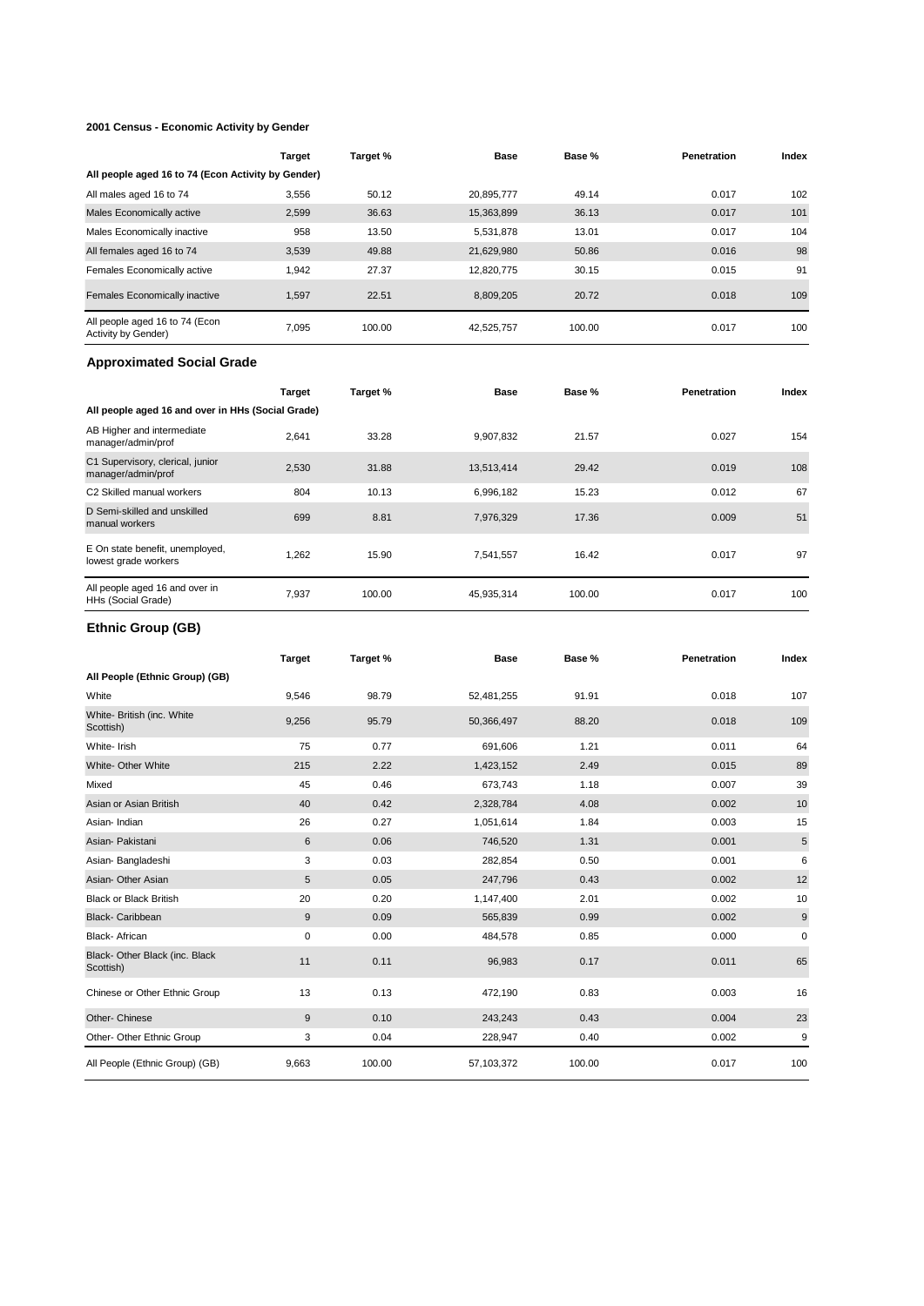#### **2001 Census - Economic Activity by Gender**

|                                                       | <b>Target</b> | Target % | <b>Base</b> | Base % | <b>Penetration</b> | Index |
|-------------------------------------------------------|---------------|----------|-------------|--------|--------------------|-------|
| All people aged 16 to 74 (Econ Activity by Gender)    |               |          |             |        |                    |       |
| All males aged 16 to 74                               | 3,556         | 50.12    | 20,895,777  | 49.14  | 0.017              | 102   |
| Males Economically active                             | 2,599         | 36.63    | 15,363,899  | 36.13  | 0.017              | 101   |
| Males Economically inactive                           | 958           | 13.50    | 5,531,878   | 13.01  | 0.017              | 104   |
| All females aged 16 to 74                             | 3,539         | 49.88    | 21,629,980  | 50.86  | 0.016              | 98    |
| Females Economically active                           | 1.942         | 27.37    | 12.820.775  | 30.15  | 0.015              | 91    |
| Females Economically inactive                         | 1.597         | 22.51    | 8,809,205   | 20.72  | 0.018              | 109   |
| All people aged 16 to 74 (Econ<br>Activity by Gender) | 7.095         | 100.00   | 42,525,757  | 100.00 | 0.017              | 100   |

#### **Approximated Social Grade**

|                                                         | <b>Target</b> | Target % | <b>Base</b> | Base % | <b>Penetration</b> | Index |
|---------------------------------------------------------|---------------|----------|-------------|--------|--------------------|-------|
| All people aged 16 and over in HHs (Social Grade)       |               |          |             |        |                    |       |
| AB Higher and intermediate<br>manager/admin/prof        | 2,641         | 33.28    | 9,907,832   | 21.57  | 0.027              | 154   |
| C1 Supervisory, clerical, junior<br>manager/admin/prof  | 2,530         | 31.88    | 13,513,414  | 29.42  | 0.019              | 108   |
| C <sub>2</sub> Skilled manual workers                   | 804           | 10.13    | 6,996,182   | 15.23  | 0.012              | 67    |
| D Semi-skilled and unskilled<br>manual workers          | 699           | 8.81     | 7,976,329   | 17.36  | 0.009              | 51    |
| E On state benefit, unemployed,<br>lowest grade workers | 1.262         | 15.90    | 7,541,557   | 16.42  | 0.017              | 97    |
| All people aged 16 and over in<br>HHs (Social Grade)    | 7,937         | 100.00   | 45,935,314  | 100.00 | 0.017              | 100   |

### **Ethnic Group (GB)**

|                                             | <b>Target</b> | Target % | <b>Base</b> | Base % | Penetration | Index |
|---------------------------------------------|---------------|----------|-------------|--------|-------------|-------|
| All People (Ethnic Group) (GB)              |               |          |             |        |             |       |
| White                                       | 9,546         | 98.79    | 52,481,255  | 91.91  | 0.018       | 107   |
| White- British (inc. White<br>Scottish)     | 9,256         | 95.79    | 50,366,497  | 88.20  | 0.018       | 109   |
| White-Irish                                 | 75            | 0.77     | 691,606     | 1.21   | 0.011       | 64    |
| White- Other White                          | 215           | 2.22     | 1,423,152   | 2.49   | 0.015       | 89    |
| Mixed                                       | 45            | 0.46     | 673,743     | 1.18   | 0.007       | 39    |
| Asian or Asian British                      | 40            | 0.42     | 2,328,784   | 4.08   | 0.002       | 10    |
| Asian-Indian                                | 26            | 0.27     | 1,051,614   | 1.84   | 0.003       | 15    |
| Asian- Pakistani                            | 6             | 0.06     | 746,520     | 1.31   | 0.001       | 5     |
| Asian-Bangladeshi                           | 3             | 0.03     | 282,854     | 0.50   | 0.001       | 6     |
| Asian-Other Asian                           | 5             | 0.05     | 247,796     | 0.43   | 0.002       | 12    |
| <b>Black or Black British</b>               | 20            | 0.20     | 1,147,400   | 2.01   | 0.002       | 10    |
| <b>Black- Caribbean</b>                     | 9             | 0.09     | 565,839     | 0.99   | 0.002       | $9\,$ |
| Black- African                              | 0             | 0.00     | 484,578     | 0.85   | 0.000       | 0     |
| Black- Other Black (inc. Black<br>Scottish) | 11            | 0.11     | 96,983      | 0.17   | 0.011       | 65    |
| Chinese or Other Ethnic Group               | 13            | 0.13     | 472,190     | 0.83   | 0.003       | 16    |
| Other- Chinese                              | 9             | 0.10     | 243,243     | 0.43   | 0.004       | 23    |
| Other- Other Ethnic Group                   | 3             | 0.04     | 228,947     | 0.40   | 0.002       | 9     |
| All People (Ethnic Group) (GB)              | 9,663         | 100.00   | 57,103,372  | 100.00 | 0.017       | 100   |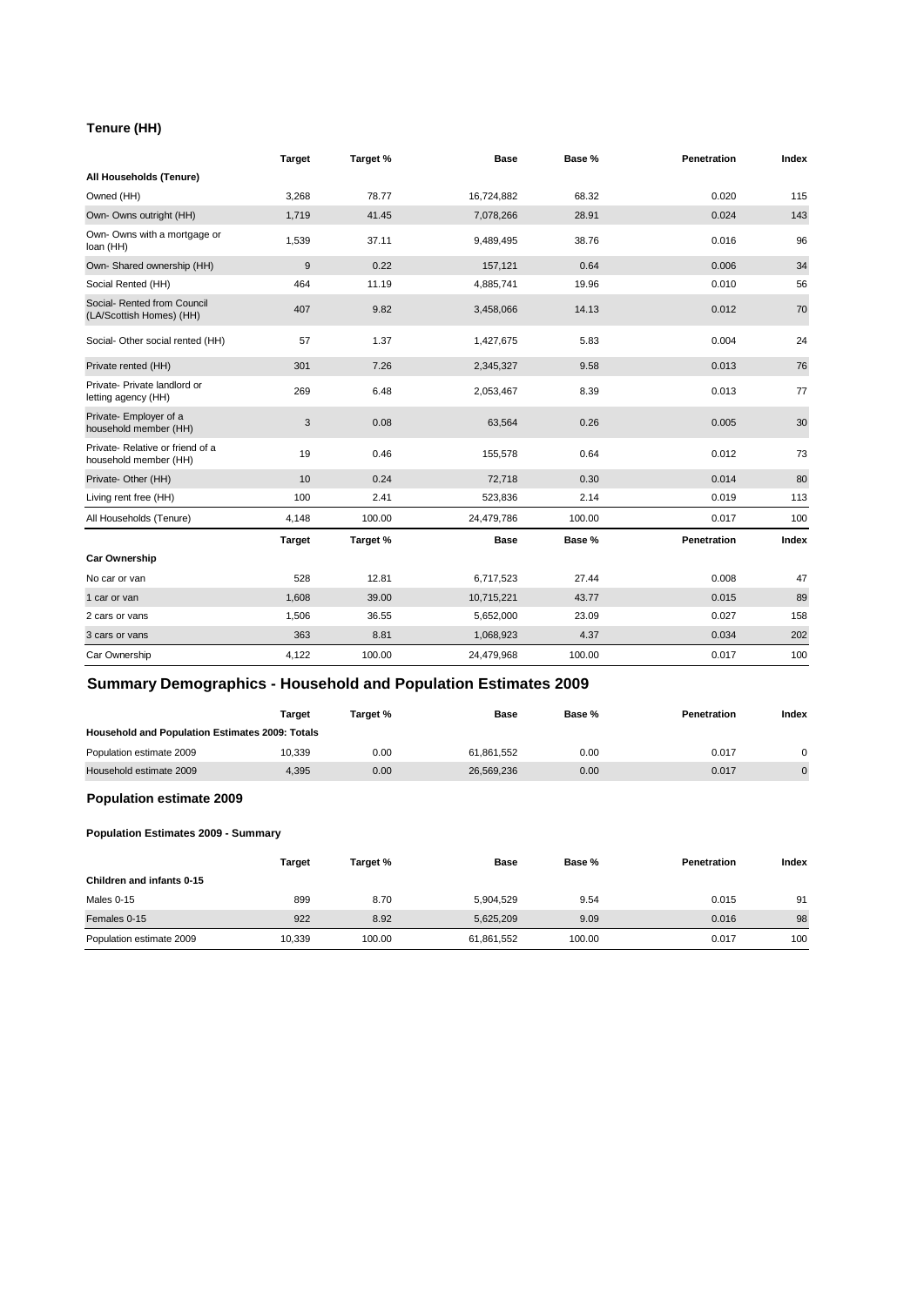#### **Tenure (HH)**

|                                                           | <b>Target</b> | Target % | <b>Base</b> | Base % | <b>Penetration</b> | Index |
|-----------------------------------------------------------|---------------|----------|-------------|--------|--------------------|-------|
| All Households (Tenure)                                   |               |          |             |        |                    |       |
| Owned (HH)                                                | 3,268         | 78.77    | 16,724,882  | 68.32  | 0.020              | 115   |
| Own- Owns outright (HH)                                   | 1,719         | 41.45    | 7,078,266   | 28.91  | 0.024              | 143   |
| Own- Owns with a mortgage or<br>loan (HH)                 | 1,539         | 37.11    | 9,489,495   | 38.76  | 0.016              | 96    |
| Own- Shared ownership (HH)                                | $9\,$         | 0.22     | 157,121     | 0.64   | 0.006              | 34    |
| Social Rented (HH)                                        | 464           | 11.19    | 4,885,741   | 19.96  | 0.010              | 56    |
| Social- Rented from Council<br>(LA/Scottish Homes) (HH)   | 407           | 9.82     | 3,458,066   | 14.13  | 0.012              | 70    |
| Social- Other social rented (HH)                          | 57            | 1.37     | 1,427,675   | 5.83   | 0.004              | 24    |
| Private rented (HH)                                       | 301           | 7.26     | 2,345,327   | 9.58   | 0.013              | 76    |
| Private- Private landlord or<br>letting agency (HH)       | 269           | 6.48     | 2,053,467   | 8.39   | 0.013              | 77    |
| Private- Employer of a<br>household member (HH)           | 3             | 0.08     | 63,564      | 0.26   | 0.005              | 30    |
| Private- Relative or friend of a<br>household member (HH) | 19            | 0.46     | 155,578     | 0.64   | 0.012              | 73    |
| Private- Other (HH)                                       | 10            | 0.24     | 72,718      | 0.30   | 0.014              | 80    |
| Living rent free (HH)                                     | 100           | 2.41     | 523,836     | 2.14   | 0.019              | 113   |
| All Households (Tenure)                                   | 4,148         | 100.00   | 24,479,786  | 100.00 | 0.017              | 100   |
|                                                           | <b>Target</b> | Target % | <b>Base</b> | Base % | Penetration        | Index |
| <b>Car Ownership</b>                                      |               |          |             |        |                    |       |
| No car or van                                             | 528           | 12.81    | 6,717,523   | 27.44  | 0.008              | 47    |
| 1 car or van                                              | 1,608         | 39.00    | 10,715,221  | 43.77  | 0.015              | 89    |
| 2 cars or vans                                            | 1,506         | 36.55    | 5,652,000   | 23.09  | 0.027              | 158   |
| 3 cars or vans                                            | 363           | 8.81     | 1,068,923   | 4.37   | 0.034              | 202   |
| Car Ownership                                             | 4,122         | 100.00   | 24,479,968  | 100.00 | 0.017              | 100   |

### **Summary Demographics - Household and Population Estimates 2009**

|                                                        | Target | Target % | Base       | Base % | <b>Penetration</b> | Index    |
|--------------------------------------------------------|--------|----------|------------|--------|--------------------|----------|
| <b>Household and Population Estimates 2009: Totals</b> |        |          |            |        |                    |          |
| Population estimate 2009                               | 10.339 | 0.00     | 61.861.552 | 0.00   | 0.017              | $\Omega$ |
| Household estimate 2009                                | 4.395  | 0.00     | 26.569.236 | 0.00   | 0.017              | $\Omega$ |

### **Population estimate 2009**

#### **Population Estimates 2009 - Summary**

|                           | Target | Target % | <b>Base</b> | <b>Base</b> % | <b>Penetration</b> | Index |
|---------------------------|--------|----------|-------------|---------------|--------------------|-------|
| Children and infants 0-15 |        |          |             |               |                    |       |
| Males 0-15                | 899    | 8.70     | 5.904.529   | 9.54          | 0.015              | 91    |
| Females 0-15              | 922    | 8.92     | 5,625,209   | 9.09          | 0.016              | 98    |
| Population estimate 2009  | 10,339 | 100.00   | 61,861,552  | 100.00        | 0.017              | 100   |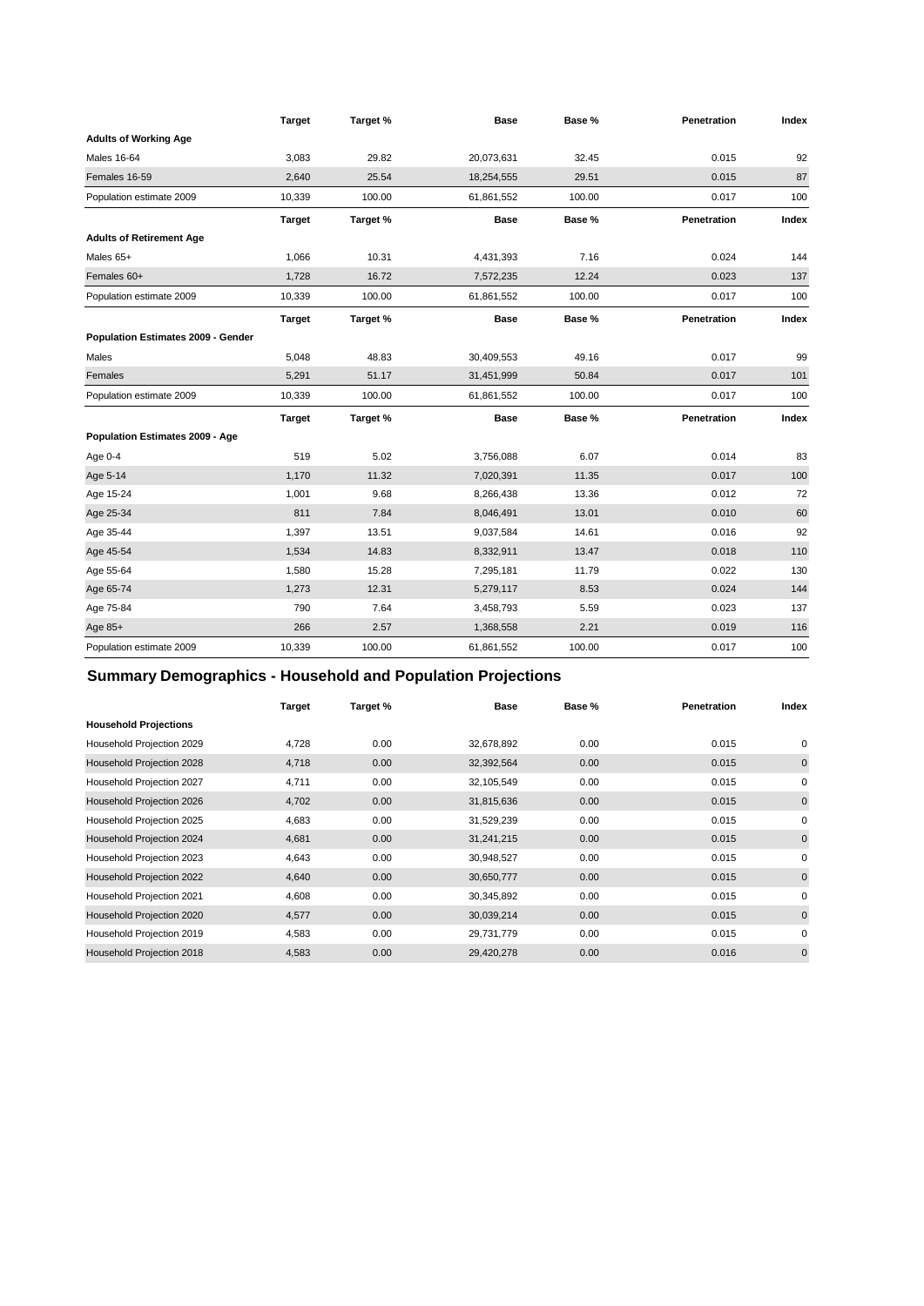|                                    | <b>Target</b> | Target % | <b>Base</b> | Base % | Penetration | Index |
|------------------------------------|---------------|----------|-------------|--------|-------------|-------|
| <b>Adults of Working Age</b>       |               |          |             |        |             |       |
| <b>Males 16-64</b>                 | 3,083         | 29.82    | 20,073,631  | 32.45  | 0.015       | 92    |
| Females 16-59                      | 2.640         | 25.54    | 18,254,555  | 29.51  | 0.015       | 87    |
| Population estimate 2009           | 10,339        | 100.00   | 61,861,552  | 100.00 | 0.017       | 100   |
|                                    | <b>Target</b> | Target % | <b>Base</b> | Base % | Penetration | Index |
| <b>Adults of Retirement Age</b>    |               |          |             |        |             |       |
| Males 65+                          | 1,066         | 10.31    | 4,431,393   | 7.16   | 0.024       | 144   |
| Females 60+                        | 1,728         | 16.72    | 7,572,235   | 12.24  | 0.023       | 137   |
| Population estimate 2009           | 10,339        | 100.00   | 61,861,552  | 100.00 | 0.017       | 100   |
|                                    | <b>Target</b> | Target % | <b>Base</b> | Base % | Penetration | Index |
| Population Estimates 2009 - Gender |               |          |             |        |             |       |
| Males                              | 5,048         | 48.83    | 30,409,553  | 49.16  | 0.017       | 99    |
| Females                            | 5,291         | 51.17    | 31,451,999  | 50.84  | 0.017       | 101   |
| Population estimate 2009           | 10,339        | 100.00   | 61,861,552  | 100.00 | 0.017       | 100   |
|                                    | <b>Target</b> | Target % | <b>Base</b> | Base % | Penetration | Index |
| Population Estimates 2009 - Age    |               |          |             |        |             |       |
| Age 0-4                            | 519           | 5.02     | 3,756,088   | 6.07   | 0.014       | 83    |
| Age 5-14                           | 1,170         | 11.32    | 7,020,391   | 11.35  | 0.017       | 100   |
| Age 15-24                          | 1,001         | 9.68     | 8,266,438   | 13.36  | 0.012       | 72    |
| Age 25-34                          | 811           | 7.84     | 8,046,491   | 13.01  | 0.010       | 60    |
| Age 35-44                          | 1,397         | 13.51    | 9,037,584   | 14.61  | 0.016       | 92    |
| Age 45-54                          | 1,534         | 14.83    | 8,332,911   | 13.47  | 0.018       | 110   |
| Age 55-64                          | 1,580         | 15.28    | 7,295,181   | 11.79  | 0.022       | 130   |
| Age 65-74                          | 1,273         | 12.31    | 5,279,117   | 8.53   | 0.024       | 144   |
| Age 75-84                          | 790           | 7.64     | 3,458,793   | 5.59   | 0.023       | 137   |
| Age 85+                            | 266           | 2.57     | 1,368,558   | 2.21   | 0.019       | 116   |
| Population estimate 2009           | 10,339        | 100.00   | 61,861,552  | 100.00 | 0.017       | 100   |

## **Summary Demographics - Household and Population Projections**

|                              | Target | Target % | Base       | Base % | <b>Penetration</b> | Index        |
|------------------------------|--------|----------|------------|--------|--------------------|--------------|
| <b>Household Projections</b> |        |          |            |        |                    |              |
| Household Projection 2029    | 4,728  | 0.00     | 32,678,892 | 0.00   | 0.015              | 0            |
| Household Projection 2028    | 4,718  | 0.00     | 32,392,564 | 0.00   | 0.015              | $\mathbf{0}$ |
| Household Projection 2027    | 4,711  | 0.00     | 32,105,549 | 0.00   | 0.015              | $\mathbf 0$  |
| Household Projection 2026    | 4,702  | 0.00     | 31,815,636 | 0.00   | 0.015              | $\mathbf{0}$ |
| Household Projection 2025    | 4,683  | 0.00     | 31,529,239 | 0.00   | 0.015              | $\mathbf 0$  |
| Household Projection 2024    | 4,681  | 0.00     | 31,241,215 | 0.00   | 0.015              | $\mathbf{0}$ |
| Household Projection 2023    | 4,643  | 0.00     | 30,948,527 | 0.00   | 0.015              | $\mathbf 0$  |
| Household Projection 2022    | 4,640  | 0.00     | 30,650,777 | 0.00   | 0.015              | $\mathbf{0}$ |
| Household Projection 2021    | 4,608  | 0.00     | 30,345,892 | 0.00   | 0.015              | $\mathbf 0$  |
| Household Projection 2020    | 4,577  | 0.00     | 30,039,214 | 0.00   | 0.015              | $\mathbf{0}$ |
| Household Projection 2019    | 4,583  | 0.00     | 29,731,779 | 0.00   | 0.015              | $\mathbf 0$  |
| Household Projection 2018    | 4,583  | 0.00     | 29,420,278 | 0.00   | 0.016              | $\mathbf{0}$ |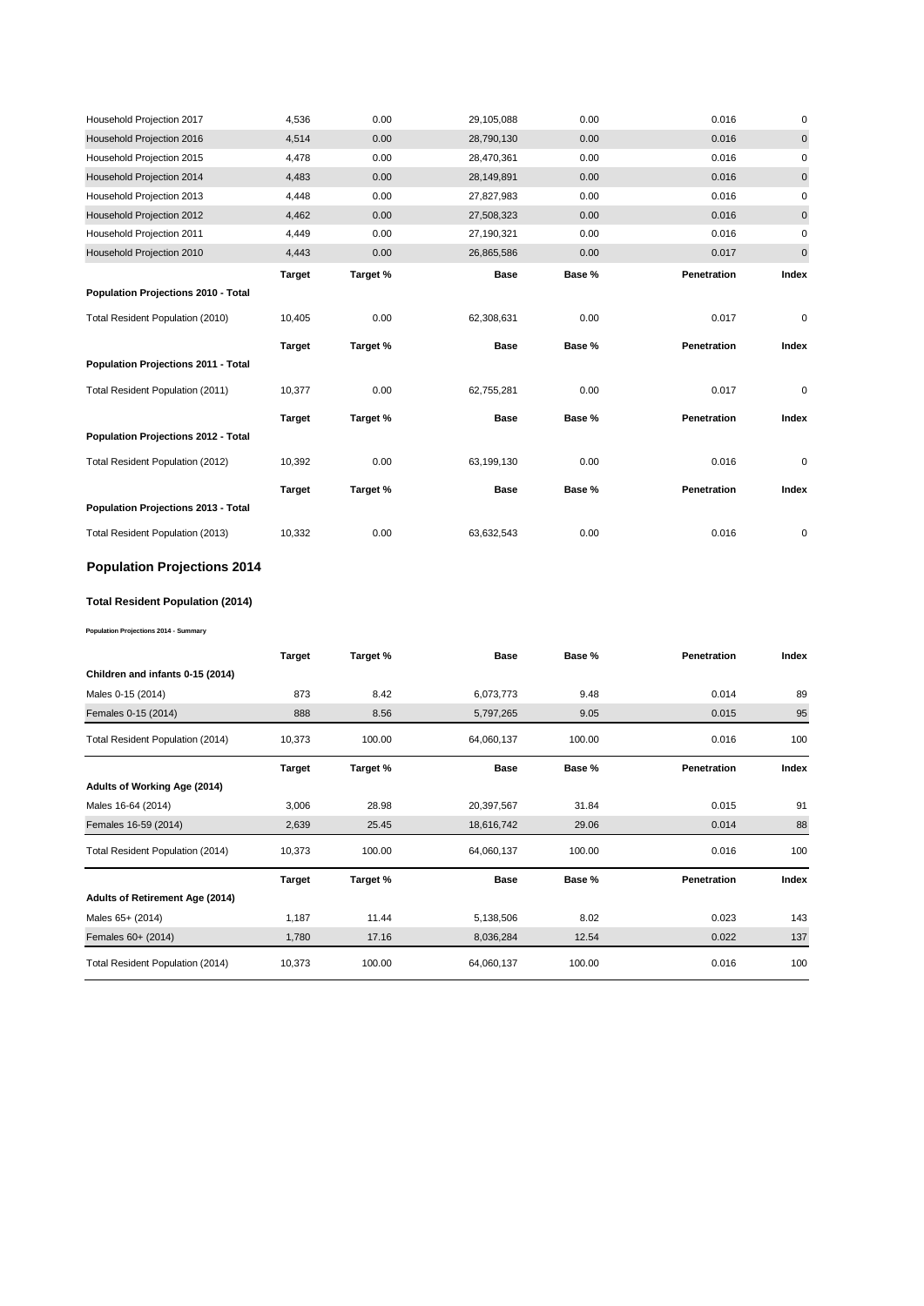| Household Projection 2017             | 4,536         | 0.00     | 29,105,088  | 0.00   | 0.016       | $\pmb{0}$ |
|---------------------------------------|---------------|----------|-------------|--------|-------------|-----------|
| Household Projection 2016             | 4,514         | 0.00     | 28,790,130  | 0.00   | 0.016       | $\pmb{0}$ |
| Household Projection 2015             | 4,478         | 0.00     | 28,470,361  | 0.00   | 0.016       | 0         |
| Household Projection 2014             | 4,483         | 0.00     | 28,149,891  | 0.00   | 0.016       | $\pmb{0}$ |
| Household Projection 2013             | 4,448         | 0.00     | 27,827,983  | 0.00   | 0.016       | 0         |
| Household Projection 2012             | 4,462         | 0.00     | 27,508,323  | 0.00   | 0.016       | $\pmb{0}$ |
| Household Projection 2011             | 4,449         | 0.00     | 27,190,321  | 0.00   | 0.016       | 0         |
| Household Projection 2010             | 4,443         | 0.00     | 26,865,586  | 0.00   | 0.017       | $\pmb{0}$ |
|                                       | <b>Target</b> | Target % | Base        | Base % | Penetration | Index     |
| Population Projections 2010 - Total   |               |          |             |        |             |           |
| Total Resident Population (2010)      | 10,405        | 0.00     | 62,308,631  | 0.00   | 0.017       | 0         |
|                                       | <b>Target</b> | Target % | <b>Base</b> | Base % | Penetration | Index     |
| Population Projections 2011 - Total   |               |          |             |        |             |           |
| Total Resident Population (2011)      | 10,377        | 0.00     | 62,755,281  | 0.00   | 0.017       | 0         |
| Population Projections 2012 - Total   | <b>Target</b> | Target % | <b>Base</b> | Base % | Penetration | Index     |
| Total Resident Population (2012)      | 10,392        | 0.00     | 63,199,130  | 0.00   | 0.016       | 0         |
| Population Projections 2013 - Total   | <b>Target</b> | Target % | <b>Base</b> | Base % | Penetration | Index     |
| Total Resident Population (2013)      | 10,332        | 0.00     | 63,632,543  | 0.00   | 0.016       | 0         |
| <b>Population Projections 2014</b>    |               |          |             |        |             |           |
| Total Resident Population (2014)      |               |          |             |        |             |           |
| Population Projections 2014 - Summary |               |          |             |        |             |           |
|                                       | <b>Target</b> | Target % | <b>Base</b> | Base % | Penetration | Index     |
| Children and infants 0-15 (2014)      |               |          |             |        |             |           |
| Males 0-15 (2014)                     | 873           | 8.42     | 6,073,773   | 9.48   | 0.014       | 89        |
| Females 0-15 (2014)                   | 888           | 8.56     | 5,797,265   | 9.05   | 0.015       | 95        |
| Total Resident Population (2014)      | 10,373        | 100.00   | 64,060,137  | 100.00 | 0.016       | 100       |
|                                       | <b>Target</b> | Target % | Base        | Base % | Penetration | Index     |
| Adults of Working Age (2014)          |               |          |             |        |             |           |
| Males 16-64 (2014)                    |               |          |             |        |             | 91        |
|                                       | 3,006         | 28.98    | 20,397,567  | 31.84  | 0.015       |           |
| Females 16-59 (2014)                  | 2,639         | 25.45    | 18,616,742  | 29.06  | 0.014       | 88        |
| Total Resident Population (2014)      | 10,373        | 100.00   | 64,060,137  | 100.00 | 0.016       | 100       |
|                                       | <b>Target</b> | Target % | <b>Base</b> | Base % | Penetration | Index     |
| Adults of Retirement Age (2014)       |               |          |             |        |             |           |
| Males 65+ (2014)                      | 1,187         | 11.44    | 5,138,506   | 8.02   | 0.023       | 143       |
| Females 60+ (2014)                    | 1,780         | 17.16    | 8,036,284   | 12.54  | 0.022       | 137       |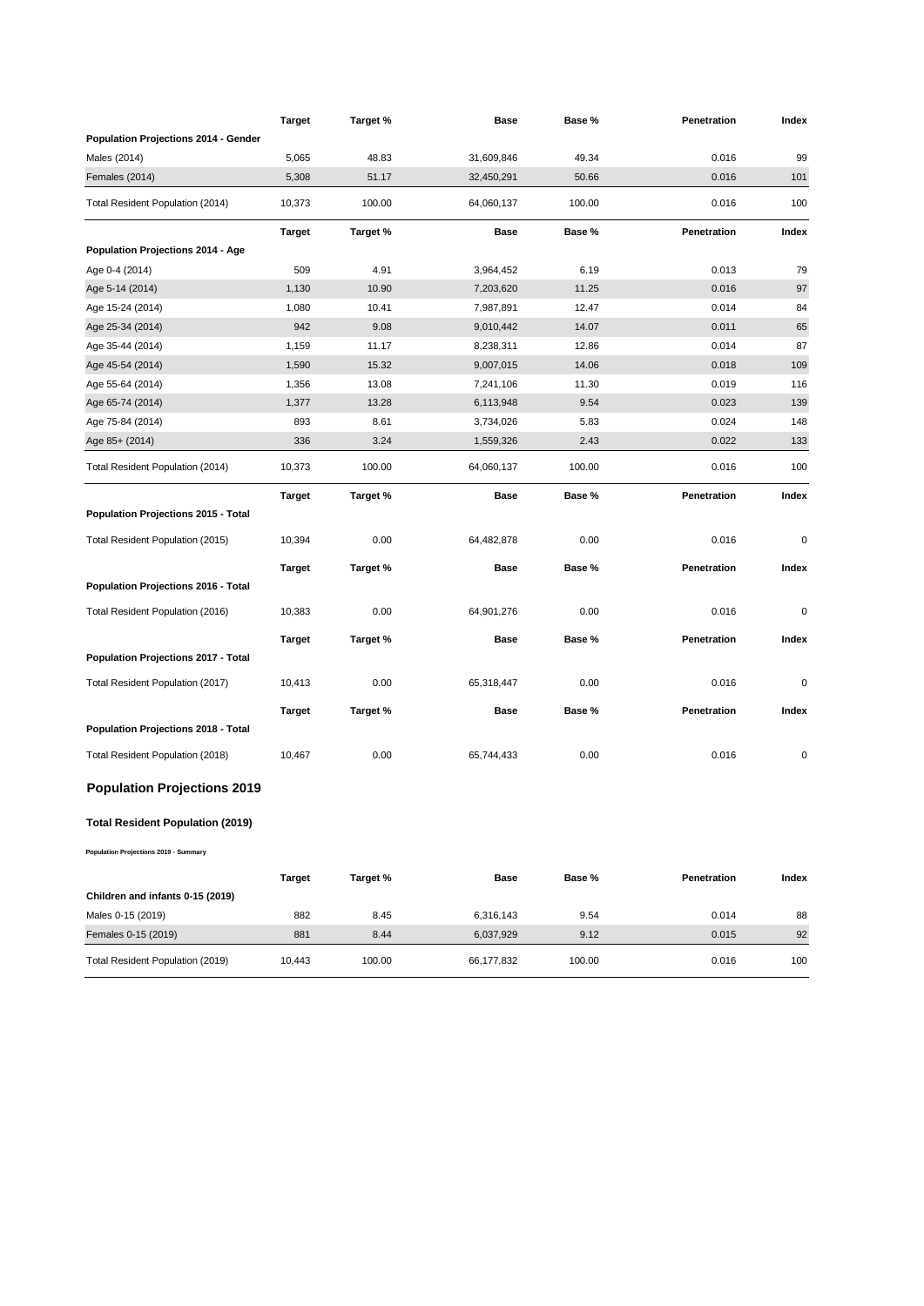|                                            | <b>Target</b> | Target % | Base        | Base % | Penetration | Index |
|--------------------------------------------|---------------|----------|-------------|--------|-------------|-------|
| Population Projections 2014 - Gender       |               |          |             |        |             |       |
| Males (2014)                               | 5,065         | 48.83    | 31,609,846  | 49.34  | 0.016       | 99    |
| Females (2014)                             | 5,308         | 51.17    | 32,450,291  | 50.66  | 0.016       | 101   |
| Total Resident Population (2014)           | 10,373        | 100.00   | 64,060,137  | 100.00 | 0.016       | 100   |
|                                            | Target        | Target % | Base        | Base % | Penetration | Index |
| Population Projections 2014 - Age          |               |          |             |        |             |       |
| Age 0-4 (2014)                             | 509           | 4.91     | 3,964,452   | 6.19   | 0.013       | 79    |
| Age 5-14 (2014)                            | 1,130         | 10.90    | 7,203,620   | 11.25  | 0.016       | 97    |
| Age 15-24 (2014)                           | 1,080         | 10.41    | 7,987,891   | 12.47  | 0.014       | 84    |
| Age 25-34 (2014)                           | 942           | 9.08     | 9,010,442   | 14.07  | 0.011       | 65    |
| Age 35-44 (2014)                           | 1,159         | 11.17    | 8,238,311   | 12.86  | 0.014       | 87    |
| Age 45-54 (2014)                           | 1,590         | 15.32    | 9,007,015   | 14.06  | 0.018       | 109   |
| Age 55-64 (2014)                           | 1,356         | 13.08    | 7,241,106   | 11.30  | 0.019       | 116   |
| Age 65-74 (2014)                           | 1,377         | 13.28    | 6,113,948   | 9.54   | 0.023       | 139   |
| Age 75-84 (2014)                           | 893           | 8.61     | 3,734,026   | 5.83   | 0.024       | 148   |
| Age 85+ (2014)                             | 336           | 3.24     | 1,559,326   | 2.43   | 0.022       | 133   |
| Total Resident Population (2014)           | 10,373        | 100.00   | 64,060,137  | 100.00 | 0.016       | 100   |
|                                            | <b>Target</b> | Target % | Base        | Base % | Penetration | Index |
| Population Projections 2015 - Total        |               |          |             |        |             |       |
| Total Resident Population (2015)           | 10,394        | 0.00     | 64,482,878  | 0.00   | 0.016       | 0     |
|                                            | <b>Target</b> | Target % | <b>Base</b> | Base % | Penetration | Index |
| <b>Population Projections 2016 - Total</b> |               |          |             |        |             |       |
| Total Resident Population (2016)           | 10,383        | 0.00     | 64,901,276  | 0.00   | 0.016       | 0     |
|                                            | Target        | Target % | Base        | Base % | Penetration | Index |
| Population Projections 2017 - Total        |               |          |             |        |             |       |
| Total Resident Population (2017)           | 10,413        | 0.00     | 65,318,447  | 0.00   | 0.016       | 0     |
|                                            | Target        | Target % | <b>Base</b> | Base % | Penetration | Index |
| <b>Population Projections 2018 - Total</b> |               |          |             |        |             |       |
| Total Resident Population (2018)           | 10,467        | 0.00     | 65,744,433  | 0.00   | 0.016       | 0     |
| <b>Population Projections 2019</b>         |               |          |             |        |             |       |
| <b>Total Resident Population (2019)</b>    |               |          |             |        |             |       |
| Population Projections 2019 - Summary      |               |          |             |        |             |       |
|                                            | <b>Target</b> | Target % | <b>Base</b> | Base % | Penetration | Index |
| Children and infants 0-15 (2019)           |               |          |             |        |             |       |
| Males 0-15 (2019)                          | 882           | 8.45     | 6,316,143   | 9.54   | 0.014       | 88    |
| Females 0-15 (2019)                        | 881           | 8.44     | 6,037,929   | 9.12   | 0.015       | 92    |
| Total Resident Population (2019)           | 10,443        | 100.00   | 66,177,832  | 100.00 | 0.016       | 100   |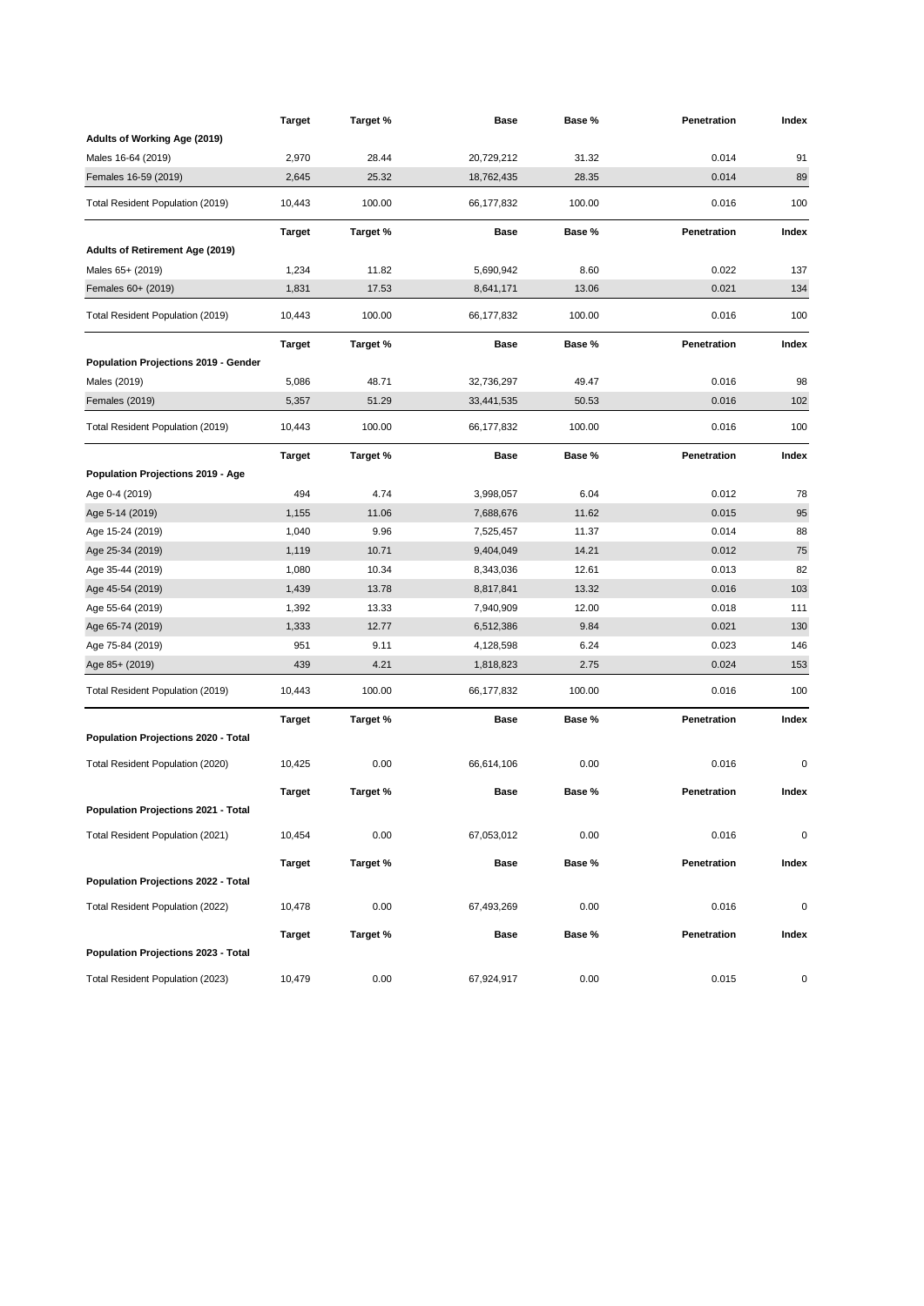|                                             | <b>Target</b> | Target % | <b>Base</b> | Base % | Penetration        | Index     |
|---------------------------------------------|---------------|----------|-------------|--------|--------------------|-----------|
| Adults of Working Age (2019)                |               |          |             |        |                    |           |
| Males 16-64 (2019)                          | 2,970         | 28.44    | 20,729,212  | 31.32  | 0.014              | 91        |
| Females 16-59 (2019)                        | 2,645         | 25.32    | 18,762,435  | 28.35  | 0.014              | 89        |
| Total Resident Population (2019)            | 10,443        | 100.00   | 66,177,832  | 100.00 | 0.016              | 100       |
|                                             | <b>Target</b> | Target % | Base        | Base % | Penetration        | Index     |
| Adults of Retirement Age (2019)             |               |          |             |        |                    |           |
| Males 65+ (2019)                            | 1,234         | 11.82    | 5,690,942   | 8.60   | 0.022              | 137       |
| Females 60+ (2019)                          | 1,831         | 17.53    | 8,641,171   | 13.06  | 0.021              | 134       |
| Total Resident Population (2019)            | 10,443        | 100.00   | 66,177,832  | 100.00 | 0.016              | 100       |
|                                             | <b>Target</b> | Target % | Base        | Base % | Penetration        | Index     |
| <b>Population Projections 2019 - Gender</b> |               |          |             |        |                    |           |
| Males (2019)                                | 5,086         | 48.71    | 32,736,297  | 49.47  | 0.016              | 98        |
| <b>Females (2019)</b>                       | 5,357         | 51.29    | 33,441,535  | 50.53  | 0.016              | 102       |
| Total Resident Population (2019)            | 10,443        | 100.00   | 66,177,832  | 100.00 | 0.016              | 100       |
|                                             | <b>Target</b> | Target % | Base        | Base % | <b>Penetration</b> | Index     |
| Population Projections 2019 - Age           |               |          |             |        |                    |           |
| Age 0-4 (2019)                              | 494           | 4.74     | 3,998,057   | 6.04   | 0.012              | 78        |
| Age 5-14 (2019)                             | 1,155         | 11.06    | 7,688,676   | 11.62  | 0.015              | 95        |
| Age 15-24 (2019)                            | 1,040         | 9.96     | 7,525,457   | 11.37  | 0.014              | 88        |
| Age 25-34 (2019)                            | 1,119         | 10.71    | 9,404,049   | 14.21  | 0.012              | 75        |
| Age 35-44 (2019)                            | 1,080         | 10.34    | 8,343,036   | 12.61  | 0.013              | 82        |
| Age 45-54 (2019)                            | 1,439         | 13.78    | 8,817,841   | 13.32  | 0.016              | 103       |
| Age 55-64 (2019)                            | 1,392         | 13.33    | 7,940,909   | 12.00  | 0.018              | 111       |
| Age 65-74 (2019)                            | 1,333         | 12.77    | 6,512,386   | 9.84   | 0.021              | 130       |
| Age 75-84 (2019)                            | 951           | 9.11     | 4,128,598   | 6.24   | 0.023              | 146       |
| Age 85+ (2019)                              | 439           | 4.21     | 1,818,823   | 2.75   | 0.024              | 153       |
| Total Resident Population (2019)            | 10,443        | 100.00   | 66,177,832  | 100.00 | 0.016              | 100       |
|                                             | <b>Target</b> | Target % | Base        | Base % | Penetration        | Index     |
| Population Projections 2020 - Total         |               |          |             |        |                    |           |
| Total Resident Population (2020)            | 10,425        | 0.00     | 66,614,106  | 0.00   | 0.016              | 0         |
|                                             | <b>Target</b> | Target % | <b>Base</b> | Base % | Penetration        | Index     |
| Population Projections 2021 - Total         |               |          |             |        |                    |           |
| Total Resident Population (2021)            | 10,454        | 0.00     | 67,053,012  | 0.00   | 0.016              | 0         |
| <b>Population Projections 2022 - Total</b>  | <b>Target</b> | Target % | Base        | Base % | Penetration        | Index     |
|                                             |               |          |             |        |                    |           |
| Total Resident Population (2022)            | 10,478        | 0.00     | 67,493,269  | 0.00   | 0.016              | $\pmb{0}$ |
|                                             | <b>Target</b> | Target % | <b>Base</b> | Base % | Penetration        | Index     |
| Population Projections 2023 - Total         |               |          |             |        |                    |           |
| Total Resident Population (2023)            | 10,479        | 0.00     | 67,924,917  | 0.00   | 0.015              | 0         |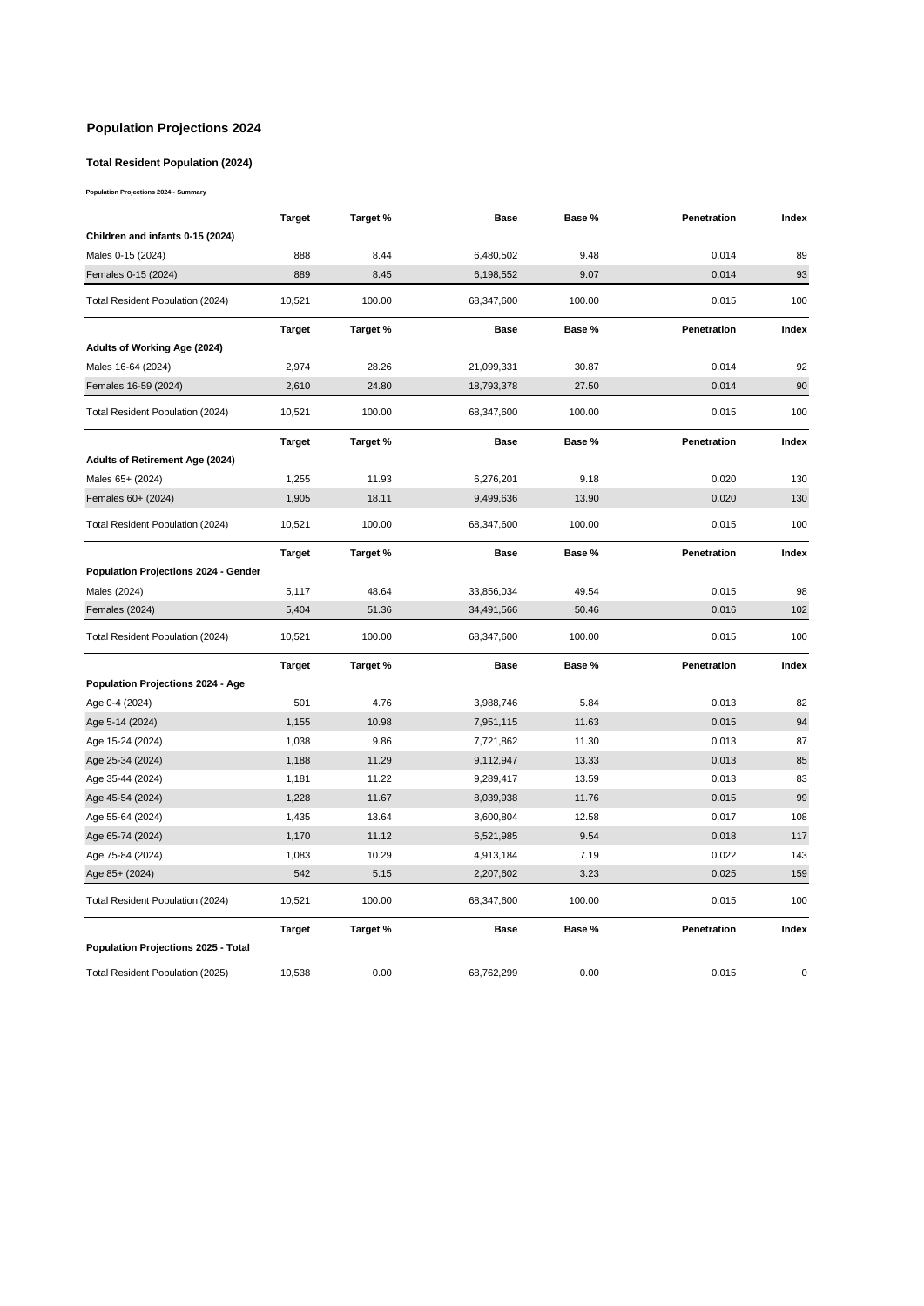#### **Population Projections 2024**

#### **Total Resident Population (2024)**

**Population Projections 2024 - Summary**

|                                      | Target        | Target % | Base        | Base % | Penetration | Index       |
|--------------------------------------|---------------|----------|-------------|--------|-------------|-------------|
| Children and infants 0-15 (2024)     |               |          |             |        |             |             |
| Males 0-15 (2024)                    | 888           | 8.44     | 6,480,502   | 9.48   | 0.014       | 89          |
| Females 0-15 (2024)                  | 889           | 8.45     | 6,198,552   | 9.07   | 0.014       | 93          |
| Total Resident Population (2024)     | 10,521        | 100.00   | 68,347,600  | 100.00 | 0.015       | 100         |
|                                      | <b>Target</b> | Target % | <b>Base</b> | Base % | Penetration | Index       |
| Adults of Working Age (2024)         |               |          |             |        |             |             |
| Males 16-64 (2024)                   | 2,974         | 28.26    | 21,099,331  | 30.87  | 0.014       | 92          |
| Females 16-59 (2024)                 | 2,610         | 24.80    | 18,793,378  | 27.50  | 0.014       | 90          |
| Total Resident Population (2024)     | 10,521        | 100.00   | 68,347,600  | 100.00 | 0.015       | 100         |
|                                      | <b>Target</b> | Target % | <b>Base</b> | Base % | Penetration | Index       |
| Adults of Retirement Age (2024)      |               |          |             |        |             |             |
| Males 65+ (2024)                     | 1,255         | 11.93    | 6,276,201   | 9.18   | 0.020       | 130         |
| Females 60+ (2024)                   | 1,905         | 18.11    | 9,499,636   | 13.90  | 0.020       | 130         |
| Total Resident Population (2024)     | 10,521        | 100.00   | 68,347,600  | 100.00 | 0.015       | 100         |
|                                      | <b>Target</b> | Target % | <b>Base</b> | Base % | Penetration | Index       |
| Population Projections 2024 - Gender |               |          |             |        |             |             |
| Males (2024)                         | 5,117         | 48.64    | 33,856,034  | 49.54  | 0.015       | 98          |
| Females (2024)                       | 5,404         | 51.36    | 34,491,566  | 50.46  | 0.016       | 102         |
| Total Resident Population (2024)     | 10,521        | 100.00   | 68,347,600  | 100.00 | 0.015       | 100         |
|                                      | <b>Target</b> | Target % | <b>Base</b> | Base % | Penetration | Index       |
| Population Projections 2024 - Age    |               |          |             |        |             |             |
| Age 0-4 (2024)                       | 501           | 4.76     | 3,988,746   | 5.84   | 0.013       | 82          |
| Age 5-14 (2024)                      | 1,155         | 10.98    | 7,951,115   | 11.63  | 0.015       | 94          |
| Age 15-24 (2024)                     | 1,038         | 9.86     | 7,721,862   | 11.30  | 0.013       | 87          |
| Age 25-34 (2024)                     | 1,188         | 11.29    | 9,112,947   | 13.33  | 0.013       | 85          |
| Age 35-44 (2024)                     | 1,181         | 11.22    | 9,289,417   | 13.59  | 0.013       | 83          |
| Age 45-54 (2024)                     | 1,228         | 11.67    | 8,039,938   | 11.76  | 0.015       | 99          |
| Age 55-64 (2024)                     | 1,435         | 13.64    | 8,600,804   | 12.58  | 0.017       | 108         |
| Age 65-74 (2024)                     | 1,170         | 11.12    | 6,521,985   | 9.54   | 0.018       | 117         |
| Age 75-84 (2024)                     | 1,083         | 10.29    | 4,913,184   | 7.19   | 0.022       | 143         |
| Age 85+ (2024)                       | 542           | 5.15     | 2,207,602   | 3.23   | 0.025       | 159         |
| Total Resident Population (2024)     | 10,521        | 100.00   | 68,347,600  | 100.00 | 0.015       | 100         |
|                                      | <b>Target</b> | Target % | <b>Base</b> | Base % | Penetration | Index       |
| Population Projections 2025 - Total  |               |          |             |        |             |             |
| Total Resident Population (2025)     | 10,538        | 0.00     | 68,762,299  | 0.00   | 0.015       | $\mathbf 0$ |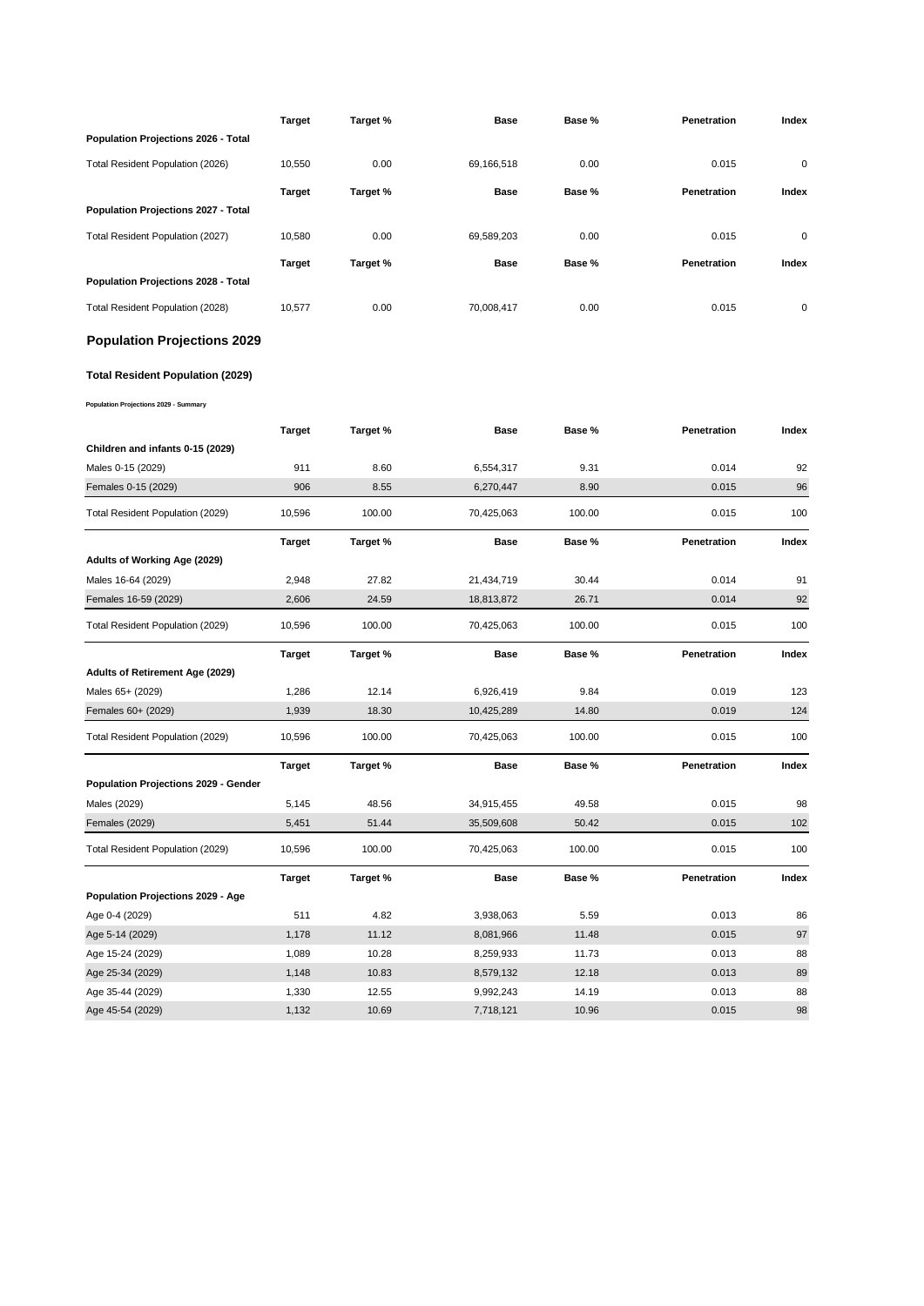|                                         | <b>Target</b> | Target % | <b>Base</b> | Base % | Penetration | Index |
|-----------------------------------------|---------------|----------|-------------|--------|-------------|-------|
| Population Projections 2026 - Total     |               |          |             |        |             |       |
| Total Resident Population (2026)        | 10,550        | 0.00     | 69,166,518  | 0.00   | 0.015       | 0     |
|                                         | <b>Target</b> | Target % | <b>Base</b> | Base % | Penetration | Index |
| Population Projections 2027 - Total     |               |          |             |        |             |       |
| Total Resident Population (2027)        | 10,580        | 0.00     | 69,589,203  | 0.00   | 0.015       | 0     |
|                                         |               |          |             |        |             |       |
| Population Projections 2028 - Total     | Target        | Target % | Base        | Base % | Penetration | Index |
|                                         |               |          |             |        |             |       |
| Total Resident Population (2028)        | 10,577        | 0.00     | 70,008,417  | 0.00   | 0.015       | 0     |
| <b>Population Projections 2029</b>      |               |          |             |        |             |       |
| <b>Total Resident Population (2029)</b> |               |          |             |        |             |       |
| Population Projections 2029 - Summary   |               |          |             |        |             |       |
|                                         | <b>Target</b> | Target % | Base        | Base % | Penetration | Index |
| Children and infants 0-15 (2029)        |               |          |             |        |             |       |
| Males 0-15 (2029)                       | 911           | 8.60     | 6,554,317   | 9.31   | 0.014       | 92    |
| Females 0-15 (2029)                     | 906           | 8.55     | 6,270,447   | 8.90   | 0.015       | 96    |
| Total Resident Population (2029)        | 10,596        | 100.00   | 70,425,063  | 100.00 | 0.015       | 100   |
|                                         | <b>Target</b> | Target % | Base        | Base % | Penetration | Index |
| Adults of Working Age (2029)            |               |          |             |        |             |       |
| Males 16-64 (2029)                      | 2,948         | 27.82    | 21,434,719  | 30.44  | 0.014       | 91    |
| Females 16-59 (2029)                    | 2,606         | 24.59    | 18,813,872  | 26.71  | 0.014       | 92    |
| Total Resident Population (2029)        | 10,596        | 100.00   | 70,425,063  | 100.00 | 0.015       | 100   |
|                                         | Target        | Target % | Base        | Base % | Penetration | Index |
| Adults of Retirement Age (2029)         |               |          |             |        |             |       |
| Males 65+ (2029)                        | 1,286         | 12.14    | 6,926,419   | 9.84   | 0.019       | 123   |
| Females 60+ (2029)                      | 1,939         | 18.30    | 10,425,289  | 14.80  | 0.019       | 124   |
| Total Resident Population (2029)        | 10,596        | 100.00   | 70,425,063  | 100.00 | 0.015       | 100   |
|                                         | Target        | Target % | Base        | Base % | Penetration | Index |
| Population Projections 2029 - Gender    |               |          |             |        |             |       |
| Males (2029)                            | 5,145         | 48.56    | 34,915,455  | 49.58  | 0.015       | 98    |
| <b>Females (2029)</b>                   | 5,451         | 51.44    | 35,509,608  | 50.42  | 0.015       | 102   |
| Total Resident Population (2029)        | 10,596        | 100.00   | 70,425,063  | 100.00 | 0.015       | 100   |
|                                         | <b>Target</b> | Target % | <b>Base</b> | Base % | Penetration | Index |
| Population Projections 2029 - Age       |               |          |             |        |             |       |
| Age 0-4 (2029)                          | 511           | 4.82     | 3,938,063   | 5.59   | 0.013       | 86    |
| Age 5-14 (2029)                         | 1,178         | 11.12    | 8,081,966   | 11.48  | 0.015       | 97    |
| Age 15-24 (2029)                        | 1,089         | 10.28    | 8,259,933   | 11.73  | 0.013       | 88    |
| Age 25-34 (2029)                        | 1,148         | 10.83    | 8,579,132   | 12.18  | 0.013       | 89    |
| Age 35-44 (2029)                        | 1,330         | 12.55    | 9,992,243   | 14.19  | 0.013       | 88    |
| Age 45-54 (2029)                        | 1,132         | 10.69    | 7,718,121   | 10.96  | 0.015       | 98    |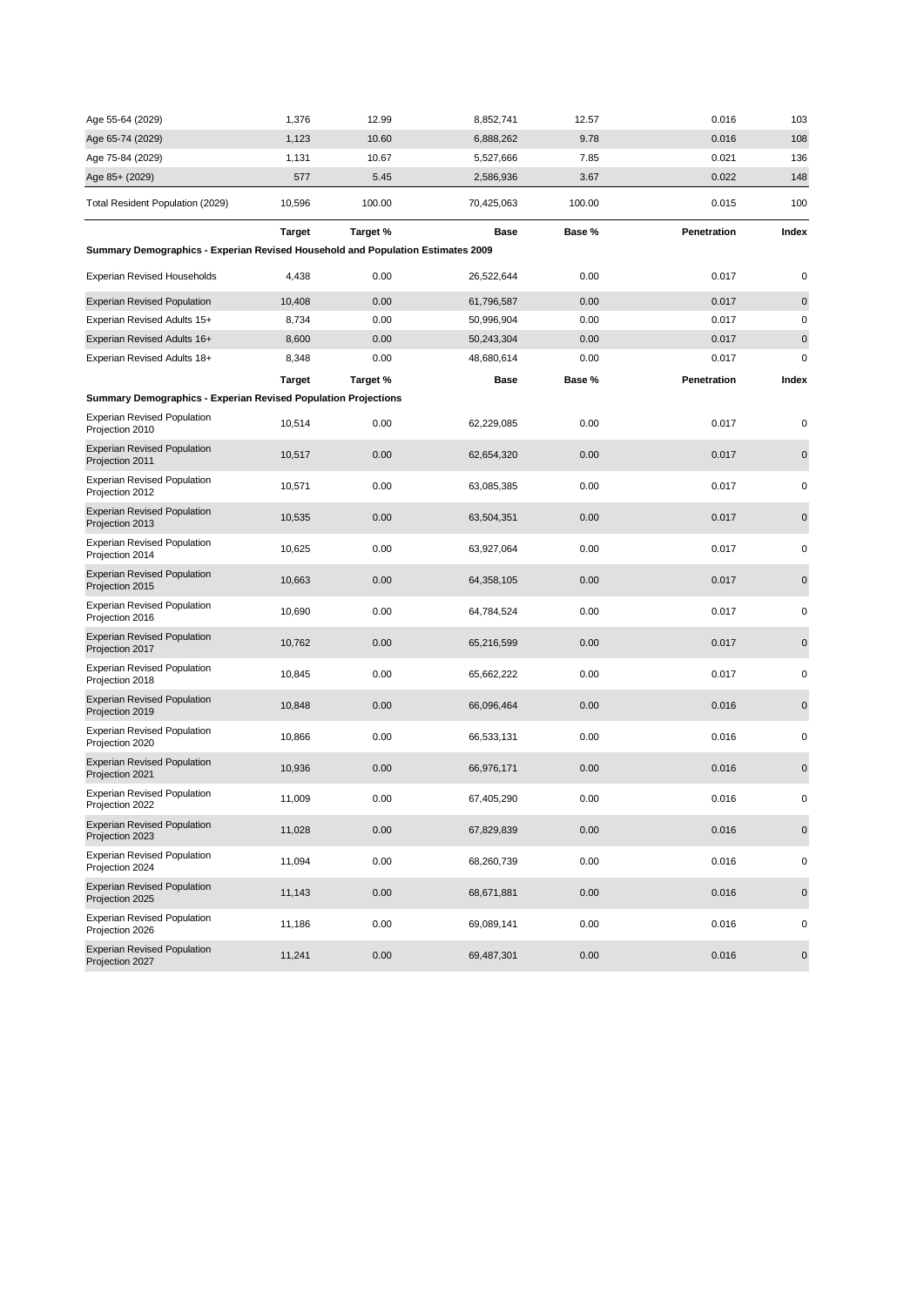| Age 55-64 (2029)                                                                | 1,376         | 12.99    | 8,852,741   | 12.57  | 0.016       | 103         |
|---------------------------------------------------------------------------------|---------------|----------|-------------|--------|-------------|-------------|
| Age 65-74 (2029)                                                                | 1,123         | 10.60    | 6,888,262   | 9.78   | 0.016       | 108         |
| Age 75-84 (2029)                                                                | 1,131         | 10.67    | 5,527,666   | 7.85   | 0.021       | 136         |
| Age 85+ (2029)                                                                  | 577           | 5.45     | 2,586,936   | 3.67   | 0.022       | 148         |
| Total Resident Population (2029)                                                | 10,596        | 100.00   | 70,425,063  | 100.00 | 0.015       | 100         |
|                                                                                 | <b>Target</b> | Target % | <b>Base</b> | Base % | Penetration | Index       |
| Summary Demographics - Experian Revised Household and Population Estimates 2009 |               |          |             |        |             |             |
| <b>Experian Revised Households</b>                                              | 4,438         | 0.00     | 26,522,644  | 0.00   | 0.017       | 0           |
| <b>Experian Revised Population</b>                                              | 10,408        | 0.00     | 61,796,587  | 0.00   | 0.017       | 0           |
| Experian Revised Adults 15+                                                     | 8,734         | 0.00     | 50,996,904  | 0.00   | 0.017       | 0           |
| Experian Revised Adults 16+                                                     | 8,600         | 0.00     | 50,243,304  | 0.00   | 0.017       | $\pmb{0}$   |
| Experian Revised Adults 18+                                                     | 8,348         | 0.00     | 48,680,614  | 0.00   | 0.017       | 0           |
|                                                                                 | <b>Target</b> | Target % | Base        | Base % | Penetration | Index       |
| <b>Summary Demographics - Experian Revised Population Projections</b>           |               |          |             |        |             |             |
| <b>Experian Revised Population</b><br>Projection 2010                           | 10,514        | 0.00     | 62,229,085  | 0.00   | 0.017       | 0           |
| <b>Experian Revised Population</b><br>Projection 2011                           | 10,517        | 0.00     | 62,654,320  | 0.00   | 0.017       | 0           |
| <b>Experian Revised Population</b><br>Projection 2012                           | 10,571        | 0.00     | 63,085,385  | 0.00   | 0.017       | 0           |
| <b>Experian Revised Population</b><br>Projection 2013                           | 10,535        | 0.00     | 63,504,351  | 0.00   | 0.017       | 0           |
| <b>Experian Revised Population</b><br>Projection 2014                           | 10,625        | 0.00     | 63,927,064  | 0.00   | 0.017       | 0           |
| <b>Experian Revised Population</b><br>Projection 2015                           | 10,663        | 0.00     | 64,358,105  | 0.00   | 0.017       | $\mathbf 0$ |
| <b>Experian Revised Population</b><br>Projection 2016                           | 10,690        | 0.00     | 64,784,524  | 0.00   | 0.017       | 0           |
| <b>Experian Revised Population</b><br>Projection 2017                           | 10,762        | 0.00     | 65,216,599  | 0.00   | 0.017       | $\pmb{0}$   |
| <b>Experian Revised Population</b><br>Projection 2018                           | 10,845        | 0.00     | 65,662,222  | 0.00   | 0.017       | 0           |
| <b>Experian Revised Population</b><br>Projection 2019                           | 10,848        | 0.00     | 66,096,464  | 0.00   | 0.016       | 0           |
| <b>Experian Revised Population</b><br>Projection 2020                           | 10,866        | 0.00     | 66,533,131  | 0.00   | 0.016       | 0           |
| <b>Experian Revised Population</b><br>Projection 2021                           | 10,936        | 0.00     | 66,976,171  | 0.00   | 0.016       | 0           |
| <b>Experian Revised Population</b><br>Projection 2022                           | 11,009        | 0.00     | 67,405,290  | 0.00   | 0.016       | 0           |
| <b>Experian Revised Population</b><br>Projection 2023                           | 11,028        | 0.00     | 67,829,839  | 0.00   | 0.016       | $\pmb{0}$   |
| <b>Experian Revised Population</b><br>Projection 2024                           | 11,094        | 0.00     | 68,260,739  | 0.00   | 0.016       | 0           |
| <b>Experian Revised Population</b><br>Projection 2025                           | 11,143        | 0.00     | 68,671,881  | 0.00   | 0.016       | 0           |
| <b>Experian Revised Population</b><br>Projection 2026                           | 11,186        | 0.00     | 69,089,141  | 0.00   | 0.016       | 0           |
| <b>Experian Revised Population</b><br>Projection 2027                           | 11,241        | 0.00     | 69,487,301  | 0.00   | 0.016       | 0           |